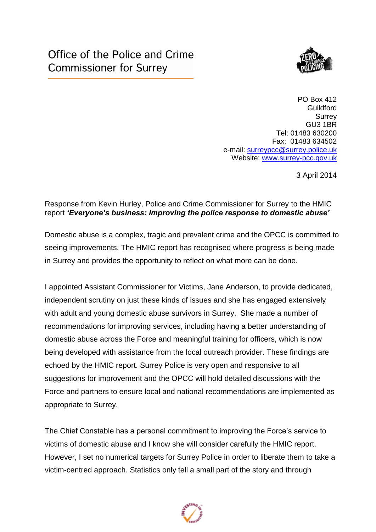

PO Box 412 **Guildford Surrey** GU3 1BR Tel: 01483 630200 Fax: 01483 634502 e-mail: [surreypcc@surrey.police.uk](mailto:surreypcc@surrey.police.uk) Website: [www.surrey-pcc.gov.uk](http://www.surrey-pcc.gov.uk/) 

3 April 2014

## Response from Kevin Hurley, Police and Crime Commissioner for Surrey to the HMIC report *'Everyone's business: Improving the police response to domestic abuse'*

Domestic abuse is a complex, tragic and prevalent crime and the OPCC is committed to seeing improvements. The HMIC report has recognised where progress is being made in Surrey and provides the opportunity to reflect on what more can be done.

I appointed Assistant Commissioner for Victims, Jane Anderson, to provide dedicated, independent scrutiny on just these kinds of issues and she has engaged extensively with adult and young domestic abuse survivors in Surrey. She made a number of recommendations for improving services, including having a better understanding of domestic abuse across the Force and meaningful training for officers, which is now being developed with assistance from the local outreach provider. These findings are echoed by the HMIC report. Surrey Police is very open and responsive to all suggestions for improvement and the OPCC will hold detailed discussions with the Force and partners to ensure local and national recommendations are implemented as appropriate to Surrey.

The Chief Constable has a personal commitment to improving the Force's service to victims of domestic abuse and I know she will consider carefully the HMIC report. However, I set no numerical targets for Surrey Police in order to liberate them to take a victim-centred approach. Statistics only tell a small part of the story and through

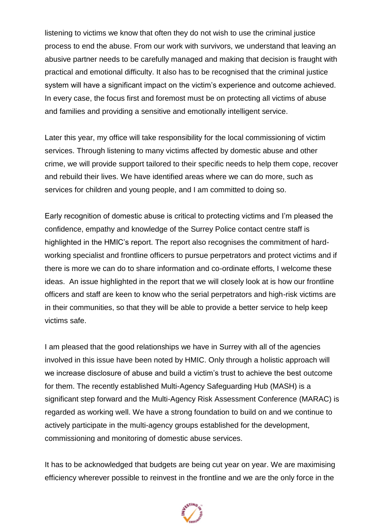listening to victims we know that often they do not wish to use the criminal justice process to end the abuse. From our work with survivors, we understand that leaving an abusive partner needs to be carefully managed and making that decision is fraught with practical and emotional difficulty. It also has to be recognised that the criminal justice system will have a significant impact on the victim's experience and outcome achieved. In every case, the focus first and foremost must be on protecting all victims of abuse and families and providing a sensitive and emotionally intelligent service.

Later this year, my office will take responsibility for the local commissioning of victim services. Through listening to many victims affected by domestic abuse and other crime, we will provide support tailored to their specific needs to help them cope, recover and rebuild their lives. We have identified areas where we can do more, such as services for children and young people, and I am committed to doing so.

Early recognition of domestic abuse is critical to protecting victims and I'm pleased the confidence, empathy and knowledge of the Surrey Police contact centre staff is highlighted in the HMIC's report. The report also recognises the commitment of hardworking specialist and frontline officers to pursue perpetrators and protect victims and if there is more we can do to share information and co-ordinate efforts, I welcome these ideas. An issue highlighted in the report that we will closely look at is how our frontline officers and staff are keen to know who the serial perpetrators and high-risk victims are in their communities, so that they will be able to provide a better service to help keep victims safe.

I am pleased that the good relationships we have in Surrey with all of the agencies involved in this issue have been noted by HMIC. Only through a holistic approach will we increase disclosure of abuse and build a victim's trust to achieve the best outcome for them. The recently established Multi-Agency Safeguarding Hub (MASH) is a significant step forward and the Multi-Agency Risk Assessment Conference (MARAC) is regarded as working well. We have a strong foundation to build on and we continue to actively participate in the multi-agency groups established for the development, commissioning and monitoring of domestic abuse services.

It has to be acknowledged that budgets are being cut year on year. We are maximising efficiency wherever possible to reinvest in the frontline and we are the only force in the